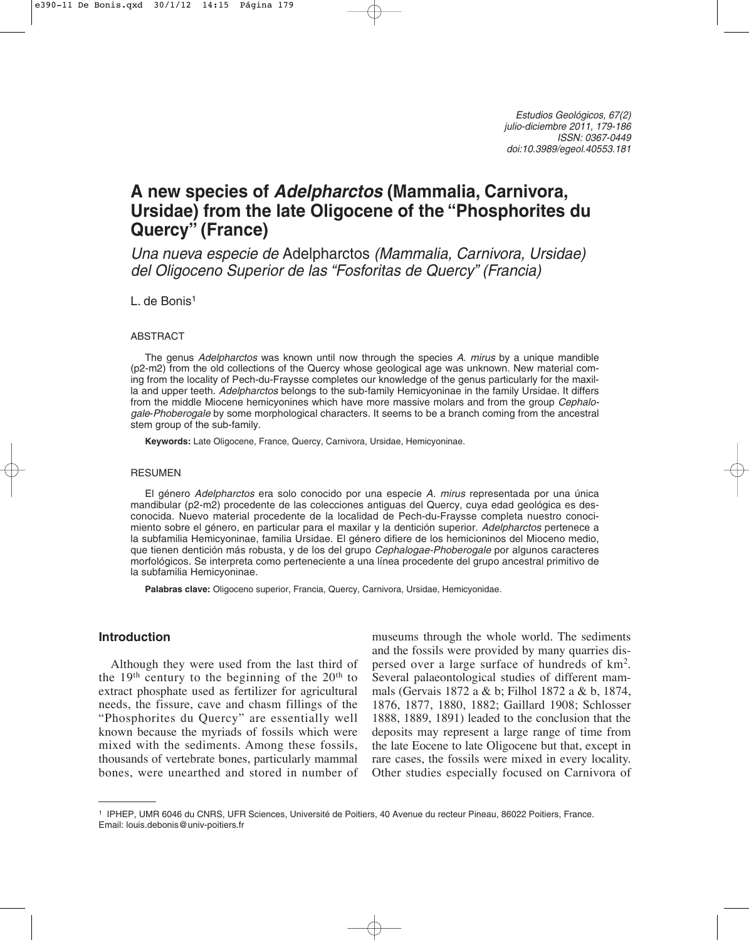# **A new species of Adelpharctos (Mammalia, Carnivora, Ursidae) from the late Oligocene of the "Phosphorites du Quercy" (France)**

Una nueva especie de Adelpharctos (Mammalia, Carnivora, Ursidae) del Oligoceno Superior de las "Fosforitas de Quercy" (Francia)

L. de Bonis $1$ 

## ABSTRACT

The genus Adelpharctos was known until now through the species A. mirus by a unique mandible (p2-m2) from the old collections of the Quercy whose geological age was unknown. New material coming from the locality of Pech-du-Fraysse completes our knowledge of the genus particularly for the maxilla and upper teeth. Adelpharctos belongs to the sub-family Hemicyoninae in the family Ursidae. It differs from the middle Miocene hemicyonines which have more massive molars and from the group Cephalogale-Phoberogale by some morphological characters. It seems to be a branch coming from the ancestral stem group of the sub-family.

**Keywords:** Late Oligocene, France, Quercy, Carnivora, Ursidae, Hemicyoninae.

### RESUMEN

El género Adelpharctos era solo conocido por una especie A. mirus representada por una única mandibular (p2-m2) procedente de las colecciones antiguas del Quercy, cuya edad geológica es desconocida. Nuevo material procedente de la localidad de Pech-du-Fraysse completa nuestro conocimiento sobre el género, en particular para el maxilar y la dentición superior. Adelpharctos pertenece a la subfamilia Hemicyoninae, familia Ursidae. El género difiere de los hemicioninos del Mioceno medio, que tienen dentición más robusta, y de los del grupo Cephalogae-Phoberogale por algunos caracteres morfológicos. Se interpreta como perteneciente a una línea procedente del grupo ancestral primitivo de la subfamilia Hemicyoninae.

**Palabras clave:** Oligoceno superior, Francia, Quercy, Carnivora, Ursidae, Hemicyonidae.

# **Introduction**

Although they were used from the last third of the  $19<sup>th</sup>$  century to the beginning of the  $20<sup>th</sup>$  to extract phosphate used as fertilizer for agricultural needs, the fissure, cave and chasm fillings of the "Phosphorites du Quercy" are essentially well known because the myriads of fossils which were mixed with the sediments. Among these fossils, thousands of vertebrate bones, particularly mammal bones, were unearthed and stored in number of

museums through the whole world. The sediments and the fossils were provided by many quarries dispersed over a large surface of hundreds of km2. Several palaeontological studies of different mammals (Gervais 1872 a & b; Filhol 1872 a & b, 1874, 1876, 1877, 1880, 1882; Gaillard 1908; Schlosser 1888, 1889, 1891) leaded to the conclusion that the deposits may represent a large range of time from the late Eocene to late Oligocene but that, except in rare cases, the fossils were mixed in every locality. Other studies especially focused on Carnivora of

<sup>1</sup> IPHEP, UMR 6046 du CNRS, UFR Sciences, Université de Poitiers, 40 Avenue du recteur Pineau, 86022 Poitiers, France. Email: louis.debonis@univ-poitiers.fr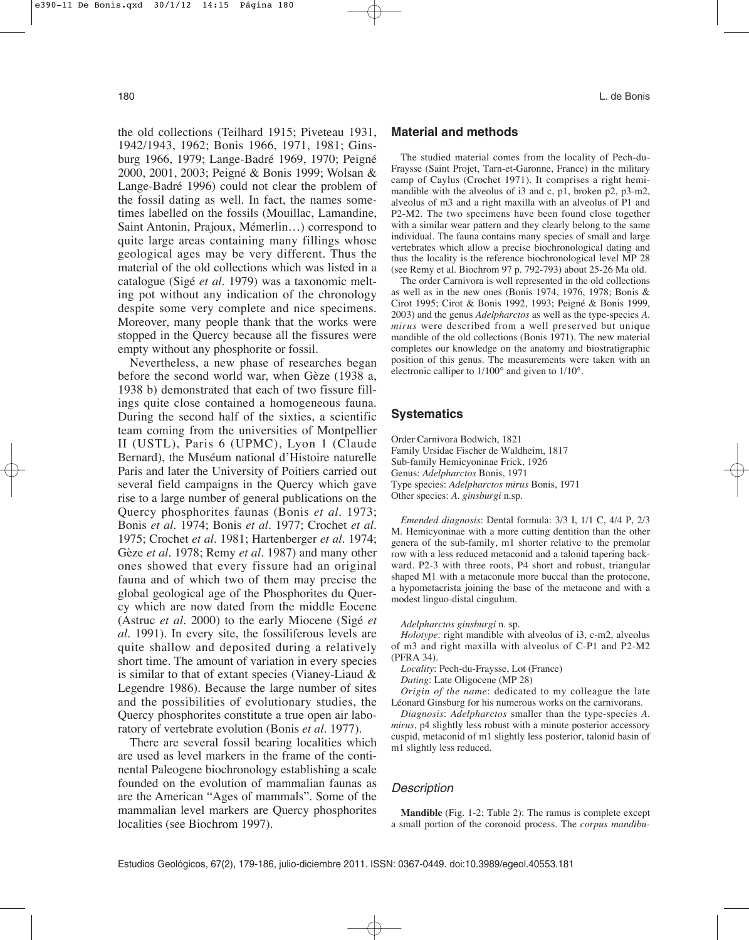the old collections (Teilhard 1915; Piveteau 1931, 1942/1943, 1962; Bonis 1966, 1971, 1981; Ginsburg 1966, 1979; Lange-Badré 1969, 1970; Peigné 2000, 2001, 2003; Peigné & Bonis 1999; Wolsan & Lange-Badré 1996) could not clear the problem of the fossil dating as well. In fact, the names sometimes labelled on the fossils (Mouillac, Lamandine, Saint Antonin, Prajoux, Mémerlin…) correspond to quite large areas containing many fillings whose geological ages may be very different. Thus the material of the old collections which was listed in a catalogue (Sigé *et al*. 1979) was a taxonomic melting pot without any indication of the chronology despite some very complete and nice specimens. Moreover, many people thank that the works were stopped in the Quercy because all the fissures were empty without any phosphorite or fossil.

Nevertheless, a new phase of researches began before the second world war, when Gèze (1938 a, 1938 b) demonstrated that each of two fissure fillings quite close contained a homogeneous fauna. During the second half of the sixties, a scientific team coming from the universities of Montpellier II (USTL), Paris 6 (UPMC), Lyon 1 (Claude Bernard), the Muséum national d'Histoire naturelle Paris and later the University of Poitiers carried out several field campaigns in the Quercy which gave rise to a large number of general publications on the Quercy phosphorites faunas (Bonis *et al*. 1973; Bonis *et al*. 1974; Bonis *et al*. 1977; Crochet *et al.* 1975; Crochet *et al.* 1981; Hartenberger *et al.* 1974; Gèze *et al.* 1978; Remy *et al*. 1987) and many other ones showed that every fissure had an original fauna and of which two of them may precise the global geological age of the Phosphorites du Quercy which are now dated from the middle Eocene (Astruc *et al*. 2000) to the early Miocene (Sigé *et al*. 1991). In every site, the fossiliferous levels are quite shallow and deposited during a relatively short time. The amount of variation in every species is similar to that of extant species (Vianey-Liaud & Legendre 1986). Because the large number of sites and the possibilities of evolutionary studies, the Quercy phosphorites constitute a true open air laboratory of vertebrate evolution (Bonis *et al*. 1977).

There are several fossil bearing localities which are used as level markers in the frame of the continental Paleogene biochronology establishing a scale founded on the evolution of mammalian faunas as are the American "Ages of mammals". Some of the mammalian level markers are Quercy phosphorites localities (see Biochrom 1997).

## **Material and methods**

The studied material comes from the locality of Pech-du-Fraysse (Saint Projet, Tarn-et-Garonne, France) in the military camp of Caylus (Crochet 1971). It comprises a right hemimandible with the alveolus of i3 and c, p1, broken p2, p3-m2, alveolus of m3 and a right maxilla with an alveolus of P1 and P2-M2. The two specimens have been found close together with a similar wear pattern and they clearly belong to the same individual. The fauna contains many species of small and large vertebrates which allow a precise biochronological dating and thus the locality is the reference biochronological level MP 28 (see Remy et al. Biochrom 97 p. 792-793) about 25-26 Ma old.

The order Carnivora is well represented in the old collections as well as in the new ones (Bonis 1974, 1976, 1978; Bonis & Cirot 1995; Cirot & Bonis 1992, 1993; Peigné & Bonis 1999, 2003) and the genus *Adelpharctos* as well as the type-species *A. mirus* were described from a well preserved but unique mandible of the old collections (Bonis 1971). The new material completes our knowledge on the anatomy and biostratigraphic position of this genus. The measurements were taken with an electronic calliper to 1/100° and given to 1/10°.

# **Systematics**

Order Carnivora Bodwich, 1821 Family Ursidae Fischer de Waldheim, 1817 Sub-family Hemicyoninae Frick, 1926 Genus: *Adelpharctos* Bonis, 1971 Type species: *Adelpharctos mirus* Bonis, 1971 Other species: *A. ginsburgi* n.sp.

*Emended diagnosis*: Dental formula: 3/3 I, 1/1 C, 4/4 P, 2/3 M. Hemicyoninae with a more cutting dentition than the other genera of the sub-family, m1 shorter relative to the premolar row with a less reduced metaconid and a talonid tapering backward. P2-3 with three roots, P4 short and robust, triangular shaped M1 with a metaconule more buccal than the protocone, a hypometacrista joining the base of the metacone and with a modest linguo-distal cingulum.

#### *Adelpharctos ginsburgi* n. sp.

*Holotype*: right mandible with alveolus of i3, c-m2, alveolus of m3 and right maxilla with alveolus of C-P1 and P2-M2 (PFRA 34).

*Locality*: Pech-du-Fraysse, Lot (France)

*Dating*: Late Oligocene (MP 28)

*Origin of the name*: dedicated to my colleague the late Léonard Ginsburg for his numerous works on the carnivorans.

*Diagnosis*: *Adelpharctos* smaller than the type-species *A. mirus*, p4 slightly less robust with a minute posterior accessory cuspid, metaconid of m1 slightly less posterior, talonid basin of m1 slightly less reduced.

## **Description**

**Mandible** (Fig. 1-2; Table 2): The ramus is complete except a small portion of the coronoid process. The *corpus mandibu-*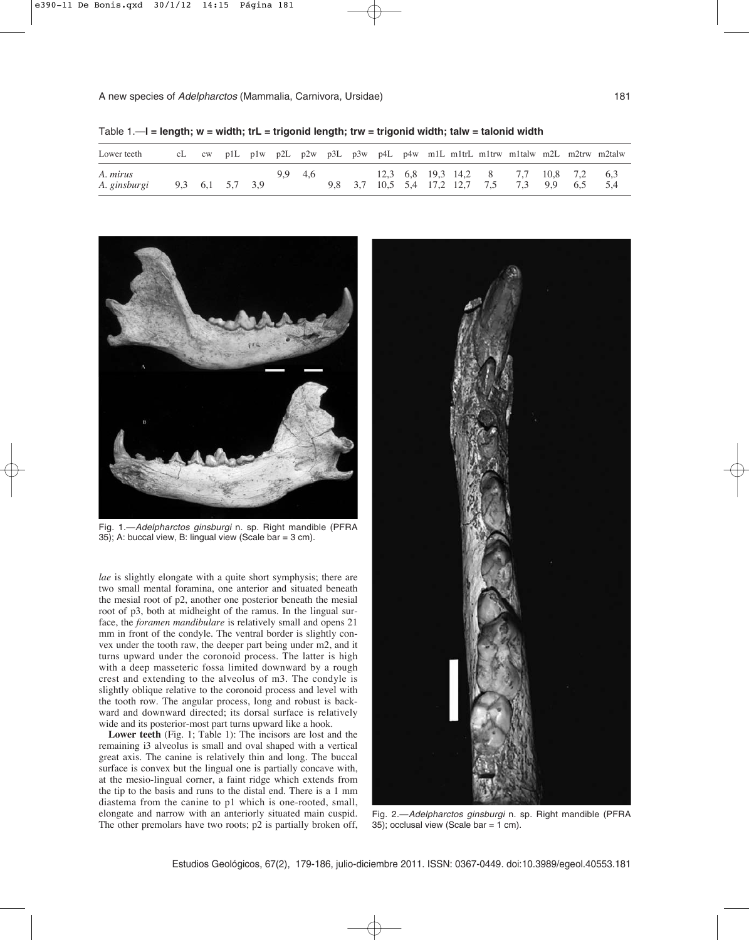Table 1.—**l = length; w = width; trL = trigonid length; trw = trigonid width; talw = talonid width**



Fig. 1.—Adelpharctos ginsburgi n. sp. Right mandible (PFRA 35); A: buccal view, B: lingual view (Scale bar = 3 cm).

*lae* is slightly elongate with a quite short symphysis; there are two small mental foramina, one anterior and situated beneath the mesial root of p2, another one posterior beneath the mesial root of p3, both at midheight of the ramus. In the lingual surface, the *foramen mandibulare* is relatively small and opens 21 mm in front of the condyle. The ventral border is slightly convex under the tooth raw, the deeper part being under m2, and it turns upward under the coronoid process. The latter is high with a deep masseteric fossa limited downward by a rough crest and extending to the alveolus of m3. The condyle is slightly oblique relative to the coronoid process and level with the tooth row. The angular process, long and robust is backward and downward directed; its dorsal surface is relatively wide and its posterior-most part turns upward like a hook.

**Lower teeth** (Fig. 1; Table 1): The incisors are lost and the remaining i3 alveolus is small and oval shaped with a vertical great axis. The canine is relatively thin and long. The buccal surface is convex but the lingual one is partially concave with, at the mesio-lingual corner, a faint ridge which extends from the tip to the basis and runs to the distal end. There is a 1 mm diastema from the canine to p1 which is one-rooted, small, elongate and narrow with an anteriorly situated main cuspid. The other premolars have two roots; p2 is partially broken off,



Fig. 2.—Adelpharctos ginsburgi n. sp. Right mandible (PFRA 35); occlusal view (Scale bar = 1 cm).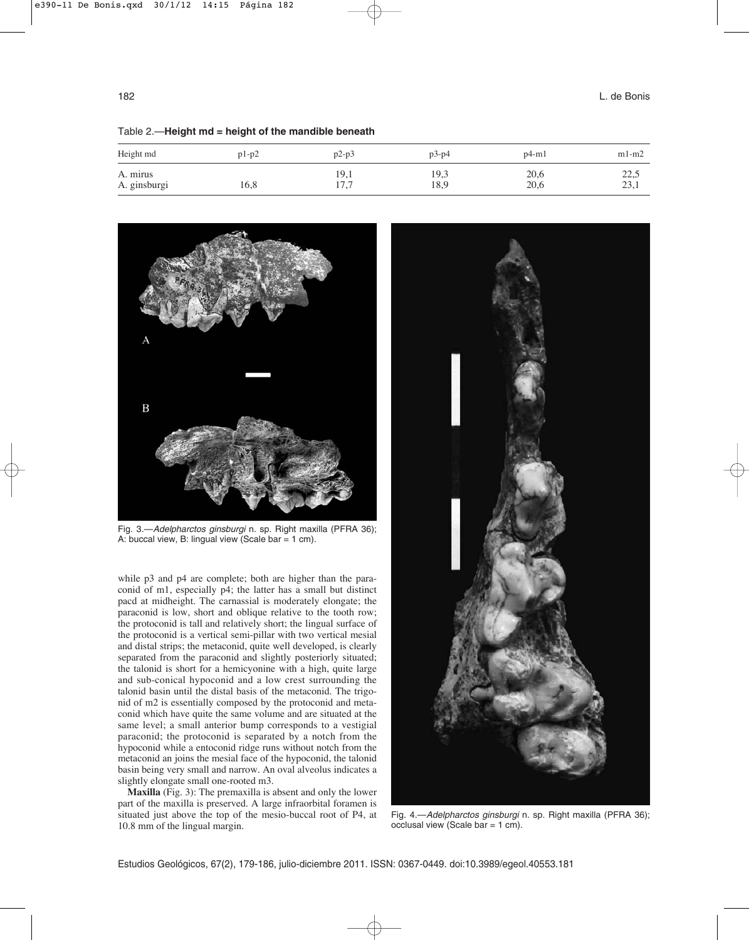| Height md                | $p1-p2$ | $p2-p3$                                       | $p3-p4$      | $p4-m1$      | $m1-m2$               |  |
|--------------------------|---------|-----------------------------------------------|--------------|--------------|-----------------------|--|
| A. mirus<br>A. ginsburgi | 16,8    | 19,1<br>$\overline{ }$ $\overline{ }$<br>11.1 | 19,3<br>18,9 | 20,6<br>20,6 | 22,5<br>$\angle J, 1$ |  |

Table 2.—**Height md = height of the mandible beneath**



Fig. 3.—Adelpharctos ginsburgi n. sp. Right maxilla (PFRA 36); A: buccal view, B: lingual view (Scale bar = 1 cm).

while p3 and p4 are complete; both are higher than the paraconid of m1, especially p4; the latter has a small but distinct pacd at midheight. The carnassial is moderately elongate; the paraconid is low, short and oblique relative to the tooth row; the protoconid is tall and relatively short; the lingual surface of the protoconid is a vertical semi-pillar with two vertical mesial and distal strips; the metaconid, quite well developed, is clearly separated from the paraconid and slightly posteriorly situated; the talonid is short for a hemicyonine with a high, quite large and sub-conical hypoconid and a low crest surrounding the talonid basin until the distal basis of the metaconid. The trigonid of m2 is essentially composed by the protoconid and metaconid which have quite the same volume and are situated at the same level; a small anterior bump corresponds to a vestigial paraconid; the protoconid is separated by a notch from the hypoconid while a entoconid ridge runs without notch from the metaconid an joins the mesial face of the hypoconid, the talonid basin being very small and narrow. An oval alveolus indicates a slightly elongate small one-rooted m3.

**Maxilla** (Fig. 3): The premaxilla is absent and only the lower part of the maxilla is preserved. A large infraorbital foramen is situated just above the top of the mesio-buccal root of P4, at 10.8 mm of the lingual margin.



Fig. 4.—Adelpharctos ginsburgi n. sp. Right maxilla (PFRA 36); occlusal view (Scale bar = 1 cm).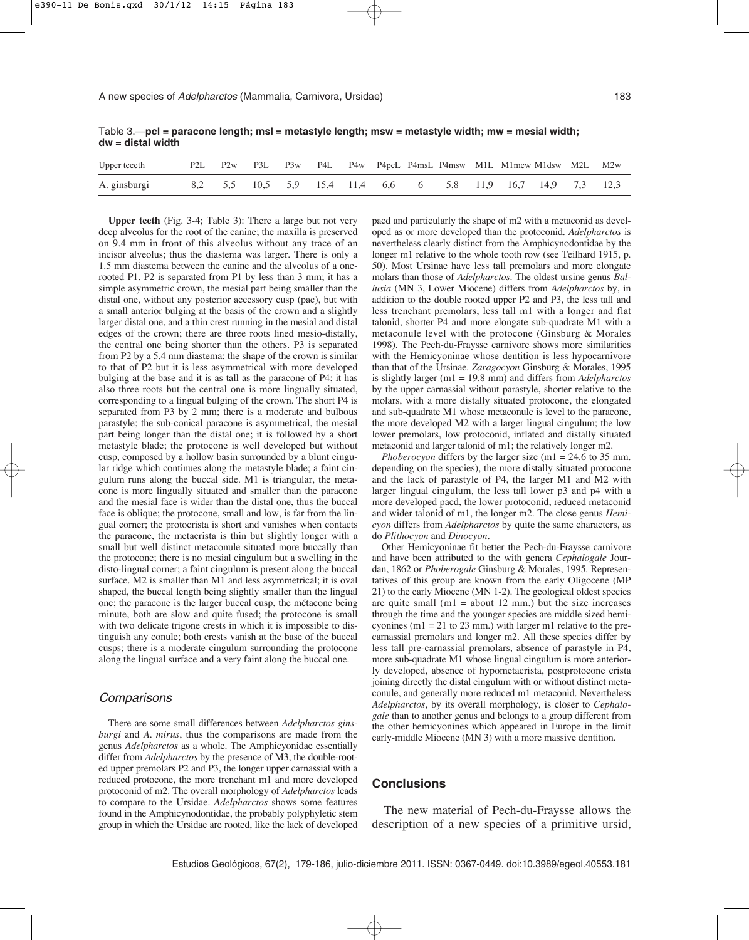| Upper teeeth |  |  |  |  |  | P2L P2w P3L P3w P4L P4w P4pcL P4msL P4msw M1L M1mew M1dsw M2L M2w |  |  |
|--------------|--|--|--|--|--|-------------------------------------------------------------------|--|--|
| A. ginsburgi |  |  |  |  |  | 8.2 5.5 10.5 5.9 15.4 11.4 6.6 6 5.8 11.9 16.7 14.9 7.3 12.3      |  |  |

Table 3.—**pcl = paracone length; msl = metastyle length; msw = metastyle width; mw = mesial width;**

**Upper teeth** (Fig. 3-4; Table 3): There a large but not very deep alveolus for the root of the canine; the maxilla is preserved on 9.4 mm in front of this alveolus without any trace of an incisor alveolus; thus the diastema was larger. There is only a 1.5 mm diastema between the canine and the alveolus of a onerooted P1. P2 is separated from P1 by less than 3 mm; it has a simple asymmetric crown, the mesial part being smaller than the distal one, without any posterior accessory cusp (pac), but with a small anterior bulging at the basis of the crown and a slightly larger distal one, and a thin crest running in the mesial and distal edges of the crown; there are three roots lined mesio-distally, the central one being shorter than the others. P3 is separated from P2 by a 5.4 mm diastema: the shape of the crown is similar to that of P2 but it is less asymmetrical with more developed bulging at the base and it is as tall as the paracone of P4; it has also three roots but the central one is more lingually situated, corresponding to a lingual bulging of the crown. The short P4 is separated from P3 by 2 mm; there is a moderate and bulbous parastyle; the sub-conical paracone is asymmetrical, the mesial part being longer than the distal one; it is followed by a short metastyle blade; the protocone is well developed but without cusp, composed by a hollow basin surrounded by a blunt cingular ridge which continues along the metastyle blade; a faint cingulum runs along the buccal side. M1 is triangular, the metacone is more lingually situated and smaller than the paracone and the mesial face is wider than the distal one, thus the buccal face is oblique; the protocone, small and low, is far from the lingual corner; the protocrista is short and vanishes when contacts the paracone, the metacrista is thin but slightly longer with a small but well distinct metaconule situated more buccally than the protocone; there is no mesial cingulum but a swelling in the disto-lingual corner; a faint cingulum is present along the buccal surface. M2 is smaller than M1 and less asymmetrical; it is oval shaped, the buccal length being slightly smaller than the lingual one; the paracone is the larger buccal cusp, the métacone being minute, both are slow and quite fused; the protocone is small with two delicate trigone crests in which it is impossible to distinguish any conule; both crests vanish at the base of the buccal cusps; there is a moderate cingulum surrounding the protocone along the lingual surface and a very faint along the buccal one.

## **Comparisons**

There are some small differences between *Adelpharctos ginsburgi* and *A. mirus*, thus the comparisons are made from the genus *Adelpharctos* as a whole. The Amphicyonidae essentially differ from *Adelpharctos* by the presence of M3, the double-rooted upper premolars P2 and P3, the longer upper carnassial with a reduced protocone, the more trenchant m1 and more developed protoconid of m2. The overall morphology of *Adelpharctos* leads to compare to the Ursidae. *Adelpharctos* shows some features found in the Amphicynodontidae, the probably polyphyletic stem group in which the Ursidae are rooted, like the lack of developed

pacd and particularly the shape of m2 with a metaconid as developed as or more developed than the protoconid. *Adelpharctos* is nevertheless clearly distinct from the Amphicynodontidae by the longer m1 relative to the whole tooth row (see Teilhard 1915, p. 50). Most Ursinae have less tall premolars and more elongate molars than those of *Adelpharctos*. The oldest ursine genus *Ballusia* (MN 3, Lower Miocene) differs from *Adelpharctos* by, in addition to the double rooted upper P2 and P3, the less tall and less trenchant premolars, less tall m1 with a longer and flat talonid, shorter P4 and more elongate sub-quadrate M1 with a metaconule level with the protocone (Ginsburg & Morales 1998). The Pech-du-Fraysse carnivore shows more similarities with the Hemicyoninae whose dentition is less hypocarnivore than that of the Ursinae. *Zaragocyon* Ginsburg & Morales, 1995 is slightly larger (m1 = 19.8 mm) and differs from *Adelpharctos* by the upper carnassial without parastyle, shorter relative to the molars, with a more distally situated protocone, the elongated and sub-quadrate M1 whose metaconule is level to the paracone, the more developed M2 with a larger lingual cingulum; the low lower premolars, low protoconid, inflated and distally situated metaconid and larger talonid of m1; the relatively longer m2.

*Phoberocyon* differs by the larger size (m1 = 24.6 to 35 mm. depending on the species), the more distally situated protocone and the lack of parastyle of P4, the larger M1 and M2 with larger lingual cingulum, the less tall lower p3 and p4 with a more developed pacd, the lower protoconid, reduced metaconid and wider talonid of m1, the longer m2. The close genus *Hemicyon* differs from *Adelpharctos* by quite the same characters, as do *Plithocyon* and *Dinocyon*.

Other Hemicyoninae fit better the Pech-du-Fraysse carnivore and have been attributed to the with genera *Cephalogale* Jourdan, 1862 or *Phoberogale* Ginsburg & Morales, 1995. Representatives of this group are known from the early Oligocene (MP 21) to the early Miocene (MN 1-2). The geological oldest species are quite small (m1 = about 12 mm.) but the size increases through the time and the younger species are middle sized hemicyonines ( $ml = 21$  to 23 mm.) with larger m1 relative to the precarnassial premolars and longer m2. All these species differ by less tall pre-carnassial premolars, absence of parastyle in P4, more sub-quadrate M1 whose lingual cingulum is more anteriorly developed, absence of hypometacrista, postprotocone crista joining directly the distal cingulum with or without distinct metaconule, and generally more reduced m1 metaconid. Nevertheless *Adelpharctos*, by its overall morphology, is closer to *Cephalogale* than to another genus and belongs to a group different from the other hemicyonines which appeared in Europe in the limit early-middle Miocene (MN 3) with a more massive dentition.

## **Conclusions**

The new material of Pech-du-Fraysse allows the description of a new species of a primitive ursid,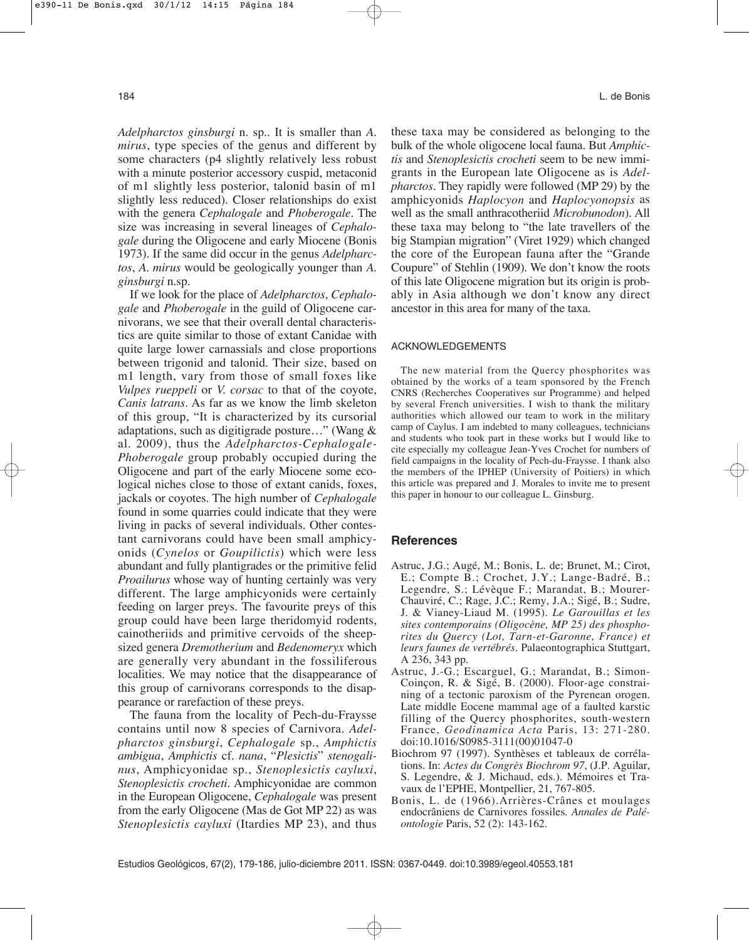*Adelpharctos ginsburgi* n. sp.*.* It is smaller than *A. mirus*, type species of the genus and different by some characters (p4 slightly relatively less robust with a minute posterior accessory cuspid, metaconid of m1 slightly less posterior, talonid basin of m1 slightly less reduced). Closer relationships do exist with the genera *Cephalogale* and *Phoberogale*. The size was increasing in several lineages of *Cephalogale* during the Oligocene and early Miocene (Bonis 1973). If the same did occur in the genus *Adelpharctos*, *A. mirus* would be geologically younger than *A. ginsburgi* n.sp.

If we look for the place of *Adelpharctos*, *Cephalogale* and *Phoberogale* in the guild of Oligocene carnivorans, we see that their overall dental characteristics are quite similar to those of extant Canidae with quite large lower carnassials and close proportions between trigonid and talonid. Their size, based on m1 length, vary from those of small foxes like *Vulpes rueppeli* or *V. corsac* to that of the coyote, *Canis latrans*. As far as we know the limb skeleton of this group, "It is characterized by its cursorial adaptations, such as digitigrade posture…" (Wang & al. 2009), thus the *Adelpharctos-Cephalogale-Phoberogale* group probably occupied during the Oligocene and part of the early Miocene some ecological niches close to those of extant canids, foxes, jackals or coyotes. The high number of *Cephalogale* found in some quarries could indicate that they were living in packs of several individuals. Other contestant carnivorans could have been small amphicyonids (*Cynelos* or *Goupilictis*) which were less abundant and fully plantigrades or the primitive felid *Proailurus* whose way of hunting certainly was very different. The large amphicyonids were certainly feeding on larger preys. The favourite preys of this group could have been large theridomyid rodents, cainotheriids and primitive cervoids of the sheepsized genera *Dremotherium* and *Bedenomeryx* which are generally very abundant in the fossiliferous localities. We may notice that the disappearance of this group of carnivorans corresponds to the disappearance or rarefaction of these preys.

The fauna from the locality of Pech-du-Fraysse contains until now 8 species of Carnivora. *Adelpharctos ginsburgi*, *Cephalogale* sp., *Amphictis ambigua*, *Amphictis* cf. *nana*, "*Plesictis*" *stenogalinus*, Amphicyonidae sp., *Stenoplesictis cayluxi*, *Stenoplesictis crocheti*. Amphicyonidae are common in the European Oligocene, *Cephalogale* was present from the early Oligocene (Mas de Got MP 22) as was *Stenoplesictis cayluxi* (Itardies MP 23), and thus these taxa may be considered as belonging to the bulk of the whole oligocene local fauna. But *Amphictis* and *Stenoplesictis crocheti* seem to be new immigrants in the European late Oligocene as is *Adelpharctos.* They rapidly were followed (MP 29) by the amphicyonids *Haplocyon* and *Haplocyonopsis* as well as the small anthracotheriid *Microbunodon*). All these taxa may belong to "the late travellers of the big Stampian migration" (Viret 1929) which changed the core of the European fauna after the "Grande Coupure" of Stehlin (1909). We don't know the roots of this late Oligocene migration but its origin is probably in Asia although we don't know any direct ancestor in this area for many of the taxa.

#### ACKNOWLEDGEMENTS

The new material from the Quercy phosphorites was obtained by the works of a team sponsored by the French CNRS (Recherches Cooperatives sur Programme) and helped by several French universities. I wish to thank the military authorities which allowed our team to work in the military camp of Caylus. I am indebted to many colleagues, technicians and students who took part in these works but I would like to cite especially my colleague Jean-Yves Crochet for numbers of field campaigns in the locality of Pech-du-Fraysse. I thank also the members of the IPHEP (University of Poitiers) in which this article was prepared and J. Morales to invite me to present this paper in honour to our colleague L. Ginsburg.

## **References**

- Astruc, J.G.; Augé, M.; Bonis, L. de; Brunet, M.; Cirot, E.; Compte B.; Crochet, J.Y.; Lange-Badré, B.; Legendre, S.; Lévèque F.; Marandat, B.; Mourer-Chauviré, C.; Rage, J.C.; Remy, J.A.; Sigé, B.; Sudre, J. & Vianey-Liaud M. (1995). *Le Garouillas et les sites contemporains (Oligocène, MP 25) des phosphorites du Quercy (Lot, Tarn-et-Garonne, France) et leurs faunes de vertébrés*. Palaeontographica Stuttgart, A 236, 343 pp.
- Astruc, J.-G.; Escarguel, G.; Marandat, B.; Simon-Coinçon, R. & Sigé, B. (2000). Floor-age constraining of a tectonic paroxism of the Pyrenean orogen. Late middle Eocene mammal age of a faulted karstic filling of the Quercy phosphorites, south-western France, *Geodinamica Acta* Paris, 13: 271-280. doi:10.1016/S0985-3111(00)01047-0
- Biochrom 97 (1997). Synthèses et tableaux de corrélations. In: *Actes du Congrès Biochrom 97*, (J.P. Aguilar, S. Legendre, & J. Michaud, eds.). Mémoires et Travaux de l'EPHE, Montpellier, 21, 767-805.
- Bonis, L. de (1966).Arrières-Crânes et moulages endocrâniens de Carnivores fossiles. *Annales de Paléontologie* Paris, 52 (2): 143-162.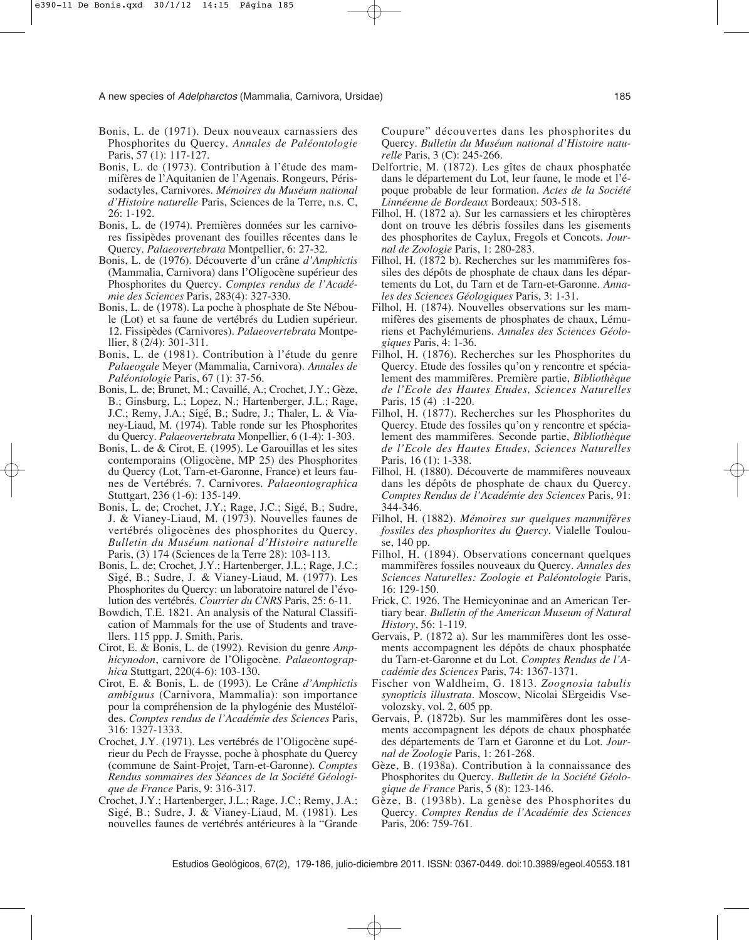- Bonis, L. de (1971). Deux nouveaux carnassiers des Phosphorites du Quercy. *Annales de Paléontologie* Paris, 57 (1): 117-127.
- Bonis, L. de (1973). Contribution à l'étude des mammifères de l'Aquitanien de l'Agenais. Rongeurs, Périssodactyles, Carnivores. *Mémoires du Muséum national d'Histoire naturelle* Paris, Sciences de la Terre, n.s. C, 26: 1-192.
- Bonis, L. de (1974). Premières données sur les carnivores fissipèdes provenant des fouilles récentes dans le Quercy. *Palaeovertebrata* Montpellier, 6: 27-32.
- Bonis, L. de (1976). Découverte d'un crâne *d'Amphictis* (Mammalia, Carnivora) dans l'Oligocène supérieur des Phosphorites du Quercy. *Comptes rendus de l'Académie des Sciences* Paris, 283(4): 327-330.
- Bonis, L. de (1978). La poche à phosphate de Ste Néboule (Lot) et sa faune de vertébrés du Ludien supérieur. 12. Fissipèdes (Carnivores). *Palaeovertebrata* Montpellier, 8 (2/4): 301-311.
- Bonis, L. de (1981). Contribution à l'étude du genre *Palaeogale* Meyer (Mammalia, Carnivora). *Annales de Paléontologie* Paris, 67 (1): 37-56.
- Bonis, L. de; Brunet, M.; Cavaillé, A.; Crochet, J.Y.; Gèze, B.; Ginsburg, L.; Lopez, N.; Hartenberger, J.L.; Rage, J.C.; Remy, J.A.; Sigé, B.; Sudre, J.; Thaler, L. & Vianey-Liaud, M. (1974). Table ronde sur les Phosphorites du Quercy. *Palaeovertebrata* Monpellier, 6 (1-4): 1-303.
- Bonis, L. de & Cirot, E. (1995). Le Garouillas et les sites contemporains (Oligocène, MP 25) des Phosphorites du Quercy (Lot, Tarn-et-Garonne, France) et leurs faunes de Vertébrés. 7. Carnivores. *Palaeontographica* Stuttgart, 236 (1-6): 135-149.
- Bonis, L. de; Crochet, J.Y.; Rage, J.C.; Sigé, B.; Sudre, J. & Vianey-Liaud, M. (1973). Nouvelles faunes de vertébrés oligocènes des phosphorites du Quercy. *Bulletin du Muséum national d'Histoire naturelle* Paris, (3) 174 (Sciences de la Terre 28): 103-113.
- Bonis, L. de; Crochet, J.Y.; Hartenberger, J.L.; Rage, J.C.; Sigé, B.; Sudre, J. & Vianey-Liaud, M. (1977). Les Phosphorites du Quercy: un laboratoire naturel de l'évolution des vertébrés. *Courrier du CNRS* Paris, 25: 6-11.
- Bowdich, T.E. 1821. An analysis of the Natural Classification of Mammals for the use of Students and travellers. 115 ppp. J. Smith, Paris.
- Cirot, E. & Bonis, L. de (1992). Revision du genre *Amphicynodon*, carnivore de l'Oligocène. *Palaeontographica* Stuttgart, 220(4-6): 103-130.
- Cirot, E. & Bonis, L. de (1993). Le Crâne *d'Amphictis ambiguus* (Carnivora, Mammalia): son importance pour la compréhension de la phylogénie des Mustéloïdes. *Comptes rendus de l'Académie des Sciences* Paris, 316: 1327-1333.
- Crochet, J.Y. (1971). Les vertébrés de l'Oligocène supérieur du Pech de Fraysse, poche à phosphate du Quercy (commune de Saint-Projet, Tarn-et-Garonne). *Comptes Rendus sommaires des Séances de la Société Géologique de France* Paris, 9: 316-317.
- Crochet, J.Y.; Hartenberger, J.L.; Rage, J.C.; Remy, J.A.; Sigé, B.; Sudre, J. & Vianey-Liaud, M. (1981). Les nouvelles faunes de vertébrés antérieures à la "Grande

Coupure" découvertes dans les phosphorites du Quercy. *Bulletin du Muséum national d'Histoire naturelle* Paris, 3 (C): 245-266.

- Delfortrie, M. (1872). Les gîtes de chaux phosphatée dans le département du Lot, leur faune, le mode et l'époque probable de leur formation. *Actes de la Société Linnéenne de Bordeaux* Bordeaux: 503-518.
- Filhol, H. (1872 a). Sur les carnassiers et les chiroptères dont on trouve les débris fossiles dans les gisements des phosphorites de Caylux, Fregols et Concots. *Journal de Zoologie* Paris, 1: 280-283.
- Filhol, H. (1872 b). Recherches sur les mammifères fossiles des dépôts de phosphate de chaux dans les départements du Lot, du Tarn et de Tarn-et-Garonne. *Annales des Sciences Géologiques* Paris, 3: 1-31.
- Filhol, H. (1874). Nouvelles observations sur les mammifères des gisements de phosphates de chaux, Lémuriens et Pachylémuriens. *Annales des Sciences Géologiques* Paris, 4: 1-36.
- Filhol, H. (1876). Recherches sur les Phosphorites du Quercy. Etude des fossiles qu'on y rencontre et spécialement des mammifères. Première partie, *Bibliothèque de l'Ecole des Hautes Etudes, Sciences Naturelles* Paris, 15 (4) :1-220.
- Filhol, H. (1877). Recherches sur les Phosphorites du Quercy. Etude des fossiles qu'on y rencontre et spécialement des mammifères. Seconde partie, *Bibliothèque de l'Ecole des Hautes Etudes, Sciences Naturelles* Paris, 16 (1): 1-338.
- Filhol, H. (1880). Découverte de mammifères nouveaux dans les dépôts de phosphate de chaux du Quercy. *Comptes Rendus de l'Académie des Sciences* Paris, 91: 344-346.
- Filhol, H. (1882). *Mémoires sur quelques mammifères fossiles des phosphorites du Quercy*. Vialelle Toulouse, 140 pp.
- Filhol, H. (1894). Observations concernant quelques mammifères fossiles nouveaux du Quercy. *Annales des Sciences Naturelles: Zoologie et Paléontologie* Paris, 16: 129-150.
- Frick, C. 1926. The Hemicyoninae and an American Tertiary bear. *Bulletin of the American Museum of Natural History*, 56: 1-119.
- Gervais, P. (1872 a). Sur les mammifères dont les ossements accompagnent les dépôts de chaux phosphatée du Tarn-et-Garonne et du Lot. *Comptes Rendus de l'Académie des Sciences* Paris, 74: 1367-1371.
- Fischer von Waldheim, G. 1813. *Zoognosia tabulis synopticis illustrata*. Moscow, Nicolai SErgeidis Vsevolozsky, vol. 2, 605 pp.
- Gervais, P. (1872b). Sur les mammifères dont les ossements accompagnent les dépots de chaux phosphatée des départements de Tarn et Garonne et du Lot. *Journal de Zoologie* Paris, 1: 261-268.
- Gèze, B. (1938a). Contribution à la connaissance des Phosphorites du Quercy. *Bulletin de la Société Géologique de France* Paris, 5 (8): 123-146.
- Gèze, B. (1938b). La genèse des Phosphorites du Quercy. *Comptes Rendus de l'Académie des Sciences* Paris, 206: 759-761.